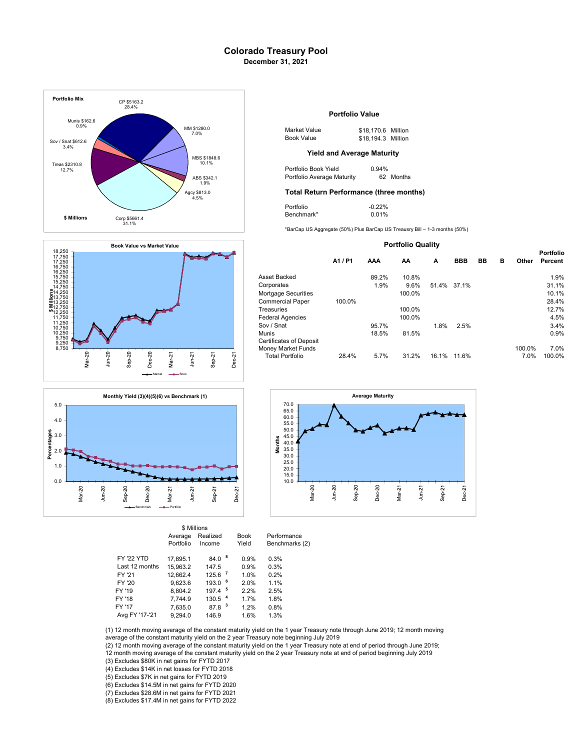# Colorado Treasury Pool December 31, 2021







|                   | Average<br>Portfolio | Realized<br>Income | <b>Book</b><br>Yield   | Performance<br><b>Benchmarks</b> |
|-------------------|----------------------|--------------------|------------------------|----------------------------------|
| <b>FY '22 YTD</b> | 17.895.1             | 84.0               | 8<br>0.9%              | 0.3%                             |
| Last 12 months    | 15.963.2             | 147.5              | 0.9%                   | 0.3%                             |
| FY '21            | 12.662.4             | 125.6              | 1.0%                   | 0.2%                             |
| FY '20            | 9.623.6              | - 6<br>193.0       | 2.0%                   | 1.1%                             |
| FY '19            | 8.804.2              | 5<br>197.4         | 2.2%                   | 2.5%                             |
| FY '18            | 7.744.9              | 130.5              | $\overline{4}$<br>1.7% | 1.8%                             |
| FY '17            | 7,635.0              | 87.8 <sup>3</sup>  | 1.2%                   | 0.8%                             |
| Avg FY '17-'21    | 9.294.0              | 146.9              | 1.6%                   | 1.3%                             |
|                   |                      |                    |                        |                                  |

\$ Millions

## Portfolio Value

| \$1280.0<br>7.0% | Market Value | \$18,170.6 Million |  |
|------------------|--------------|--------------------|--|
|                  | Book Value   | \$18,194.3 Million |  |

| Portfolio Book Yield       | $0.94\%$ |           |
|----------------------------|----------|-----------|
| Portfolio Average Maturity |          | 62 Months |

### Agcy \$813.0 **Total Return Performance (three months)**

| Portfolio  | $-0.22%$ |
|------------|----------|
| Benchmark* | 0.01%    |

| <b>Portfolio Quality</b>                             |        |            |        |       |             |           |   |        |                             |
|------------------------------------------------------|--------|------------|--------|-------|-------------|-----------|---|--------|-----------------------------|
|                                                      | A1/P1  | <b>AAA</b> | AA     | A     | <b>BBB</b>  | <b>BB</b> | в | Other  | <b>Portfolio</b><br>Percent |
| Asset Backed                                         |        | 89.2%      | 10.8%  |       |             |           |   |        | 1.9%                        |
| Corporates                                           |        | 1.9%       | 9.6%   |       | 51.4% 37.1% |           |   |        | 31.1%                       |
| Mortgage Securities                                  |        |            | 100.0% |       |             |           |   |        | 10.1%                       |
| <b>Commercial Paper</b>                              | 100.0% |            |        |       |             |           |   |        | 28.4%                       |
| Treasuries                                           |        |            | 100.0% |       |             |           |   |        | 12.7%                       |
| <b>Federal Agencies</b>                              |        |            | 100.0% |       |             |           |   |        | 4.5%                        |
| Sov / Snat                                           |        | 95.7%      |        | 1.8%  | 2.5%        |           |   |        | 3.4%                        |
| Munis                                                |        | 18.5%      | 81.5%  |       |             |           |   |        | 0.9%                        |
| <b>Certificates of Deposit</b><br>Money Market Funds |        |            |        |       |             |           |   | 100.0% | 7.0%                        |
| <b>Total Portfolio</b>                               | 28.4%  | 5.7%       | 31.2%  | 16.1% | 11.6%       |           |   | 7.0%   | 100.0%                      |



chmarks (2)

(1) 12 month moving average of the constant maturity yield on the 1 year Treasury note through June 2019; 12 month moving average of the constant maturity yield on the 2 year Treasury note beginning July 2019

(2) 12 month moving average of the constant maturity yield on the 1 year Treasury note at end of period through June 2019;<br>12 month moving average of the constant maturity yield on the 2 year Treasury note at end of period

(3) Excludes \$80K in net gains for FYTD 2017

(4) Excludes \$14K in net losses for FYTD 2018

(5) Excludes \$7K in net gains for FYTD 2019

(6) Excludes \$14.5M in net gains for FYTD 2020

(7) Excludes \$28.6M in net gains for FYTD 2021

(8) Excludes \$17.4M in net gains for FYTD 2022